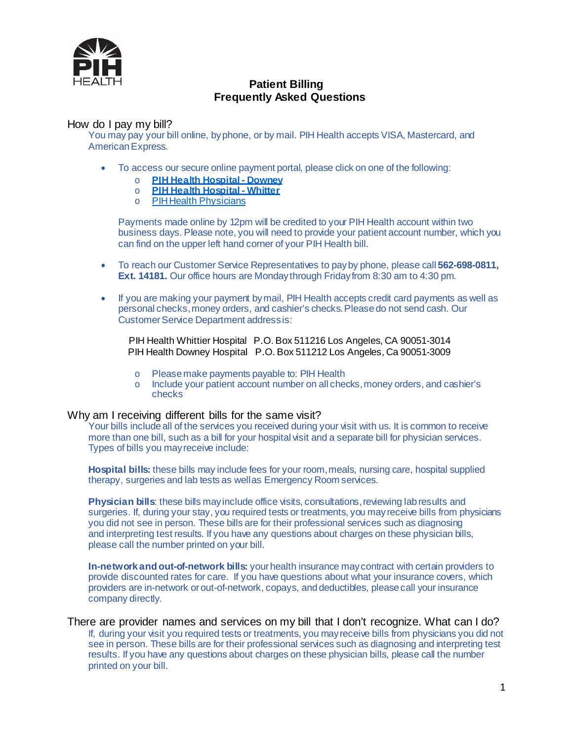

# **Patient Billing Frequently Asked Questions**

### How do I pay my bill?

You may pay your bill online, byphone, or by mail. PIH Health accepts VISA, Mastercard, and American Express.

- To access our secure online payment portal, please click on one of the following:
	- o **PIH Health [Hospital](https://pay.usbank.com/Form/Payments/New?id=DowneyOnline_BillPay) - Downey**
	- o **PIH Health [Hospital](https://pay.usbank.com/Form/Payments/New?id=PIHOnlineBill_Pay) - Whitter**
	- o PIHHealth [Physicians](https://www.pihhealth.org/patients-visitors/billing-financial-assistance/pay-bill/pih-health-physicians/)

Payments made online by 12pm will be credited to your PIH Health account within two business days. Please note, you will need to provide your patient account number, which you can find on the upper left hand corner of your PIH Health bill.

- To reach our Customer Service Representatives to payby phone, please call **562-698-0811, Ext. 14181.** Our office hours are Mondaythrough Fridayfrom 8:30 am to 4:30 pm.
- If you are making your payment by mail, PIH Health accepts credit card payments as well as personal checks,money orders, and cashier's checks.Pleasedo not send cash. Our Customer Service Department addressis:

 PIH Health Whittier Hospital P.O. Box 511216 Los Angeles, CA 90051-3014 PIH Health Downey Hospital P.O. Box 511212 Los Angeles, Ca 90051-3009

- o Pleasemake payments payable to: PIH Health
- o Include your patient account number on all checks,money orders, and cashier's checks

#### Why am I receiving different bills for the same visit?

Your bills include all of the services you received during your visit with us. It is common to receive more than one bill, such as a bill for your hospital visit and a separate bill for physician services. Types of bills you mayreceive include:

**Hospital bills:** these bills may include fees for your room,meals, nursing care, hospital supplied therapy, surgeries and lab tests as wellas Emergency Room services.

**Physician bills**: these bills may include office visits, consultations, reviewing lab results and surgeries. If, during your stay, you required tests or treatments, you mayreceive bills from physicians you did not see in person. These bills are for their professional services such as diagnosing and interpreting test results. If you have any questions about charges on these physician bills, please call the number printed on your bill.

**In-network and out-of-network bills:** your health insurance may contract with certain providers to provide discounted rates for care. If you have questions about what your insurance covers, which providers are in-network orout-of-network, copays, anddeductibles, pleasecall your insurance company directly.

#### There are provider names and services on my bill that I don't recognize. What can I do? If, during your visit you required tests or treatments, you mayreceive bills from physicians you did not see in person. These bills are for their professional services such as diagnosing and interpreting test results. If you have any questions about charges on these physician bills, please call the number printed on your bill.